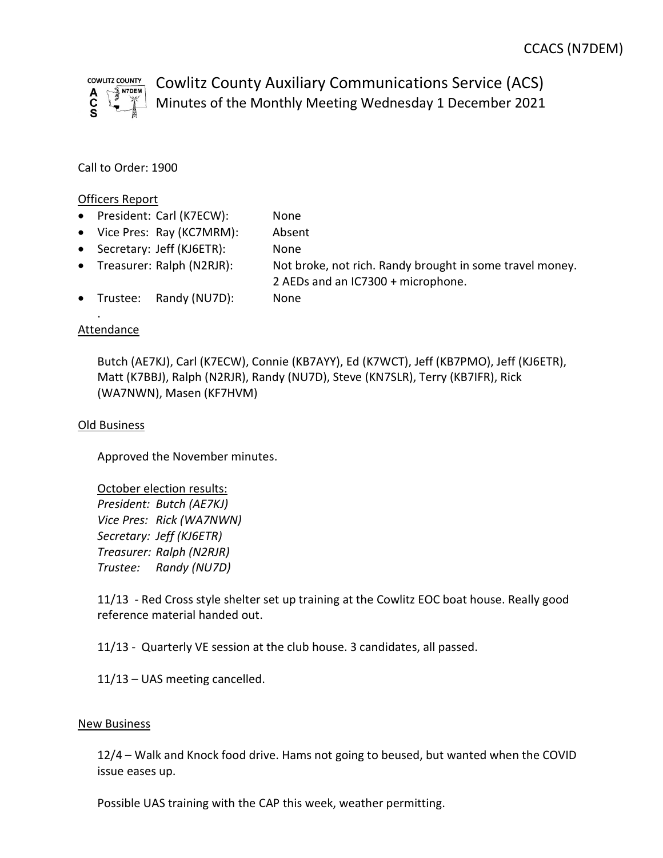

Cowlitz County Auxiliary Communications Service (ACS) Minutes of the Monthly Meeting Wednesday 1 December 2021

Call to Order: 1900

### Officers Report

- President: Carl (K7ECW): None
- Vice Pres: Ray (KC7MRM): Absent
- Secretary: Jeff (KJ6ETR): None
- Treasurer: Ralph (N2RJR): Not broke, not rich. Randy brought in some travel money. 2 AEDs and an IC7300 + microphone.
- Trustee: Randy (NU7D): None

# **Attendance**

.

Butch (AE7KJ), Carl (K7ECW), Connie (KB7AYY), Ed (K7WCT), Jeff (KB7PMO), Jeff (KJ6ETR), Matt (K7BBJ), Ralph (N2RJR), Randy (NU7D), Steve (KN7SLR), Terry (KB7IFR), Rick (WA7NWN), Masen (KF7HVM)

## Old Business

Approved the November minutes.

October election results: President: Butch (AE7KJ) Vice Pres: Rick (WA7NWN) Secretary: Jeff (KJ6ETR) Treasurer: Ralph (N2RJR) Trustee: Randy (NU7D)

11/13 - Red Cross style shelter set up training at the Cowlitz EOC boat house. Really good reference material handed out.

11/13 - Quarterly VE session at the club house. 3 candidates, all passed.

11/13 – UAS meeting cancelled.

### New Business

12/4 – Walk and Knock food drive. Hams not going to beused, but wanted when the COVID issue eases up.

Possible UAS training with the CAP this week, weather permitting.